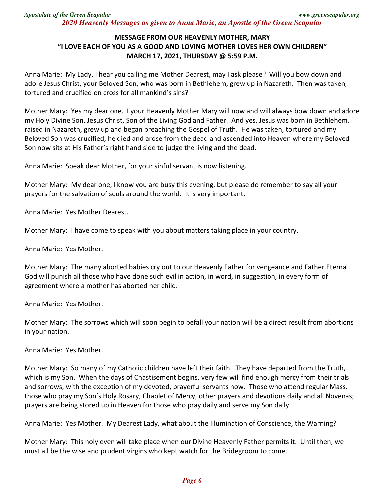## **MESSAGE FROM OUR HEAVENLY MOTHER, MARY "I LOVE EACH OF YOU AS A GOOD AND LOVING MOTHER LOVES HER OWN CHILDREN" MARCH 17, 2021, THURSDAY @ 5:59 P.M.**

Anna Marie: My Lady, I hear you calling me Mother Dearest, may I ask please? Will you bow down and adore Jesus Christ, your Beloved Son, who was born in Bethlehem, grew up in Nazareth. Then was taken, tortured and crucified on cross for all mankind's sins?

Mother Mary: Yes my dear one. I your Heavenly Mother Mary will now and will always bow down and adore my Holy Divine Son, Jesus Christ, Son of the Living God and Father. And yes, Jesus was born in Bethlehem, raised in Nazareth, grew up and began preaching the Gospel of Truth. He was taken, tortured and my Beloved Son was crucified, he died and arose from the dead and ascended into Heaven where my Beloved Son now sits at His Father's right hand side to judge the living and the dead.

Anna Marie: Speak dear Mother, for your sinful servant is now listening.

Mother Mary: My dear one, I know you are busy this evening, but please do remember to say all your prayers for the salvation of souls around the world. It is very important.

Anna Marie: Yes Mother Dearest.

Mother Mary: I have come to speak with you about matters taking place in your country.

Anna Marie: Yes Mother.

Mother Mary: The many aborted babies cry out to our Heavenly Father for vengeance and Father Eternal God will punish all those who have done such evil in action, in word, in suggestion, in every form of agreement where a mother has aborted her child.

Anna Marie: Yes Mother.

Mother Mary: The sorrows which will soon begin to befall your nation will be a direct result from abortions in your nation.

Anna Marie: Yes Mother.

Mother Mary: So many of my Catholic children have left their faith. They have departed from the Truth, which is my Son. When the days of Chastisement begins, very few will find enough mercy from their trials and sorrows, with the exception of my devoted, prayerful servants now. Those who attend regular Mass, those who pray my Son's Holy Rosary, Chaplet of Mercy, other prayers and devotions daily and all Novenas; prayers are being stored up in Heaven for those who pray daily and serve my Son daily.

Anna Marie: Yes Mother. My Dearest Lady, what about the Illumination of Conscience, the Warning?

Mother Mary: This holy even will take place when our Divine Heavenly Father permits it. Until then, we must all be the wise and prudent virgins who kept watch for the Bridegroom to come.